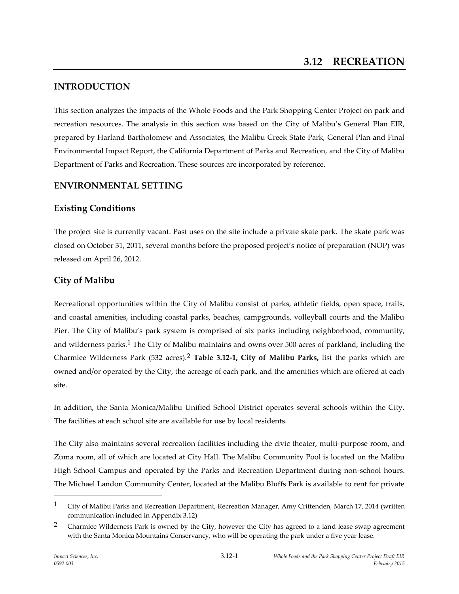# **INTRODUCTION**

This section analyzes the impacts of the Whole Foods and the Park Shopping Center Project on park and recreation resources. The analysis in this section was based on the City of Malibu's General Plan EIR, prepared by Harland Bartholomew and Associates, the Malibu Creek State Park, General Plan and Final Environmental Impact Report, the California Department of Parks and Recreation, and the City of Malibu Department of Parks and Recreation. These sources are incorporated by reference.

# **ENVIRONMENTAL SETTING**

# **Existing Conditions**

The project site is currently vacant. Past uses on the site include a private skate park. The skate park was closed on October 31, 2011, several months before the proposed project's notice of preparation (NOP) was released on April 26, 2012.

# **City of Malibu**

Recreational opportunities within the City of Malibu consist of parks, athletic fields, open space, trails, and coastal amenities, including coastal parks, beaches, campgrounds, volleyball courts and the Malibu Pier. The City of Malibu's park system is comprised of six parks including neighborhood, community, and wilderness parks.<sup>1</sup> The City of Malibu maintains and owns over 500 acres of parkland, including the Charmlee Wilderness Park (532 acres).2 **Table 3.12-1, City of Malibu Parks,** list the parks which are owned and/or operated by the City, the acreage of each park, and the amenities which are offered at each site.

In addition, the Santa Monica/Malibu Unified School District operates several schools within the City. The facilities at each school site are available for use by local residents.

The City also maintains several recreation facilities including the civic theater, multi-purpose room, and Zuma room, all of which are located at City Hall. The Malibu Community Pool is located on the Malibu High School Campus and operated by the Parks and Recreation Department during non-school hours. The Michael Landon Community Center, located at the Malibu Bluffs Park is available to rent for private

<sup>&</sup>lt;sup>1</sup> City of Malibu Parks and Recreation Department, Recreation Manager, Amy Crittenden, March 17, 2014 (written communication included in Appendix 3.12)

<sup>&</sup>lt;sup>2</sup> Charmlee Wilderness Park is owned by the City, however the City has agreed to a land lease swap agreement with the Santa Monica Mountains Conservancy, who will be operating the park under a five year lease.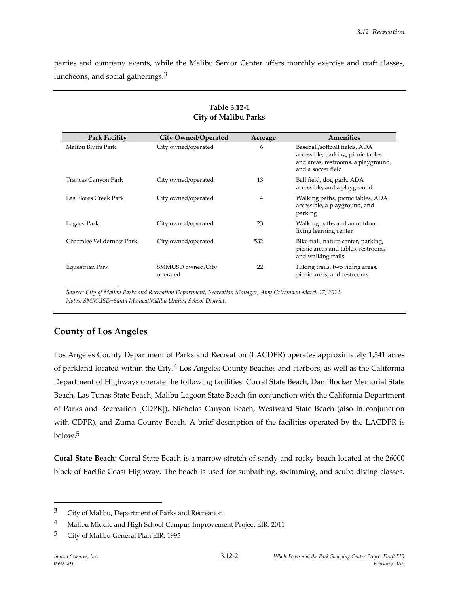parties and company events, while the Malibu Senior Center offers monthly exercise and craft classes, luncheons, and social gatherings.<sup>3</sup>

| <b>Park Facility</b>     | <b>City Owned/Operated</b>    | Acreage | Amenities                                                                                                                        |
|--------------------------|-------------------------------|---------|----------------------------------------------------------------------------------------------------------------------------------|
| Malibu Bluffs Park       | City owned/operated           | 6       | Baseball/softball fields, ADA<br>accessible, parking, picnic tables<br>and areas, restrooms, a playground,<br>and a soccer field |
| Trancas Canyon Park      | City owned/operated           | 13      | Ball field, dog park, ADA<br>accessible, and a playground                                                                        |
| Las Flores Creek Park    | City owned/operated           | 4       | Walking paths, picnic tables, ADA<br>accessible, a playground, and<br>parking                                                    |
| Legacy Park              | City owned/operated           | 23      | Walking paths and an outdoor<br>living learning center                                                                           |
| Charmlee Wilderness Park | City owned/operated           | 532     | Bike trail, nature center, parking,<br>picnic areas and tables, restrooms,<br>and walking trails                                 |
| Equestrian Park          | SMMUSD owned/City<br>operated | 22      | Hiking trails, two riding areas,<br>picnic areas, and restrooms                                                                  |

#### **Table 3.12-1 City of Malibu Parks**

*Source: City of Malibu Parks and Recreation Department, Recreation Manager, Amy Crittenden March 17, 2014. Notes: SMMUSD=Santa Monica/Malibu Unified School District.*

## **County of Los Angeles**

Los Angeles County Department of Parks and Recreation (LACDPR) operates approximately 1,541 acres of parkland located within the City.4 Los Angeles County Beaches and Harbors, as well as the California Department of Highways operate the following facilities: Corral State Beach, Dan Blocker Memorial State Beach, Las Tunas State Beach, Malibu Lagoon State Beach (in conjunction with the California Department of Parks and Recreation [CDPR]), Nicholas Canyon Beach, Westward State Beach (also in conjunction with CDPR), and Zuma County Beach. A brief description of the facilities operated by the LACDPR is below. 5

**Coral State Beach:** Corral State Beach is a narrow stretch of sandy and rocky beach located at the 26000 block of Pacific Coast Highway. The beach is used for sunbathing, swimming, and scuba diving classes.

<sup>3</sup> City of Malibu, Department of Parks and Recreation

<sup>4</sup> Malibu Middle and High School Campus Improvement Project EIR, 2011

<sup>&</sup>lt;sup>5</sup> City of Malibu General Plan EIR, 1995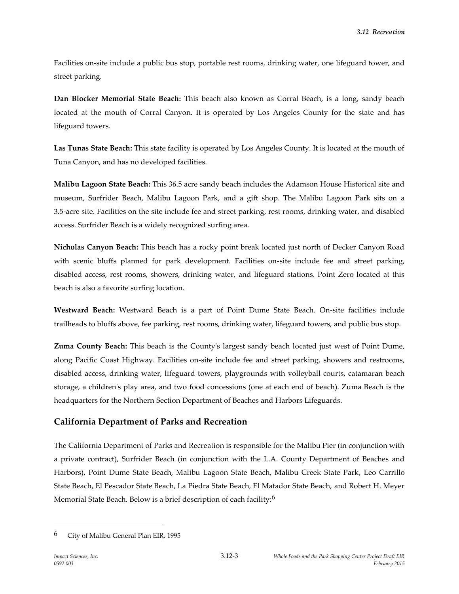Facilities on-site include a public bus stop, portable rest rooms, drinking water, one lifeguard tower, and street parking.

**Dan Blocker Memorial State Beach:** This beach also known as Corral Beach, is a long, sandy beach located at the mouth of Corral Canyon. It is operated by Los Angeles County for the state and has lifeguard towers.

**Las Tunas State Beach:** This state facility is operated by Los Angeles County. It is located at the mouth of Tuna Canyon, and has no developed facilities.

**Malibu Lagoon State Beach:** This 36.5 acre sandy beach includes the Adamson House Historical site and museum, Surfrider Beach, Malibu Lagoon Park, and a gift shop. The Malibu Lagoon Park sits on a 3.5-acre site. Facilities on the site include fee and street parking, rest rooms, drinking water, and disabled access. Surfrider Beach is a widely recognized surfing area.

**Nicholas Canyon Beach:** This beach has a rocky point break located just north of Decker Canyon Road with scenic bluffs planned for park development. Facilities on-site include fee and street parking, disabled access, rest rooms, showers, drinking water, and lifeguard stations. Point Zero located at this beach is also a favorite surfing location.

**Westward Beach:** Westward Beach is a part of Point Dume State Beach. On-site facilities include trailheads to bluffs above, fee parking, rest rooms, drinking water, lifeguard towers, and public bus stop.

**Zuma County Beach:** This beach is the County's largest sandy beach located just west of Point Dume, along Pacific Coast Highway. Facilities on-site include fee and street parking, showers and restrooms, disabled access, drinking water, lifeguard towers, playgrounds with volleyball courts, catamaran beach storage, a children's play area, and two food concessions (one at each end of beach). Zuma Beach is the headquarters for the Northern Section Department of Beaches and Harbors Lifeguards.

## **California Department of Parks and Recreation**

The California Department of Parks and Recreation is responsible for the Malibu Pier (in conjunction with a private contract), Surfrider Beach (in conjunction with the L.A. County Department of Beaches and Harbors), Point Dume State Beach, Malibu Lagoon State Beach, Malibu Creek State Park, Leo Carrillo State Beach, El Pescador State Beach, La Piedra State Beach, El Matador State Beach, and Robert H. Meyer Memorial State Beach. Below is a brief description of each facility:<sup>6</sup>

<sup>6</sup> City of Malibu General Plan EIR, 1995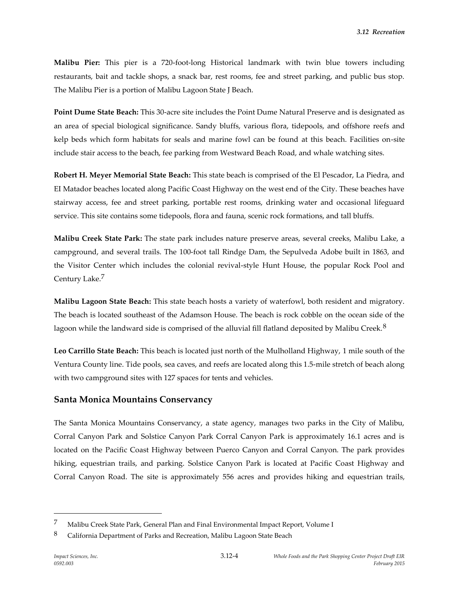**Malibu Pier:** This pier is a 720-foot-long Historical landmark with twin blue towers including restaurants, bait and tackle shops, a snack bar, rest rooms, fee and street parking, and public bus stop. The Malibu Pier is a portion of Malibu Lagoon State J Beach.

**Point Dume State Beach:** This 30-acre site includes the Point Dume Natural Preserve and is designated as an area of special biological significance. Sandy bluffs, various flora, tidepools, and offshore reefs and kelp beds which form habitats for seals and marine fowl can be found at this beach. Facilities on-site include stair access to the beach, fee parking from Westward Beach Road, and whale watching sites.

**Robert H. Meyer Memorial State Beach:** This state beach is comprised of the El Pescador, La Piedra, and EI Matador beaches located along Pacific Coast Highway on the west end of the City. These beaches have stairway access, fee and street parking, portable rest rooms, drinking water and occasional lifeguard service. This site contains some tidepools, flora and fauna, scenic rock formations, and tall bluffs.

**Malibu Creek State Park:** The state park includes nature preserve areas, several creeks, Malibu Lake, a campground, and several trails. The 100-foot tall Rindge Dam, the Sepulveda Adobe built in 1863, and the Visitor Center which includes the colonial revival-style Hunt House, the popular Rock Pool and Century Lake.<sup>7</sup>

**Malibu Lagoon State Beach:** This state beach hosts a variety of waterfowl, both resident and migratory. The beach is located southeast of the Adamson House. The beach is rock cobble on the ocean side of the lagoon while the landward side is comprised of the alluvial fill flatland deposited by Malibu Creek.<sup>8</sup>

**Leo Carrillo State Beach:** This beach is located just north of the Mulholland Highway, 1 mile south of the Ventura County line. Tide pools, sea caves, and reefs are located along this 1.5-mile stretch of beach along with two campground sites with 127 spaces for tents and vehicles.

#### **Santa Monica Mountains Conservancy**

The Santa Monica Mountains Conservancy, a state agency, manages two parks in the City of Malibu, Corral Canyon Park and Solstice Canyon Park Corral Canyon Park is approximately 16.1 acres and is located on the Pacific Coast Highway between Puerco Canyon and Corral Canyon. The park provides hiking, equestrian trails, and parking. Solstice Canyon Park is located at Pacific Coast Highway and Corral Canyon Road. The site is approximately 556 acres and provides hiking and equestrian trails,

<sup>7</sup> Malibu Creek State Park, General Plan and Final Environmental Impact Report, Volume I

<sup>8</sup> California Department of Parks and Recreation, Malibu Lagoon State Beach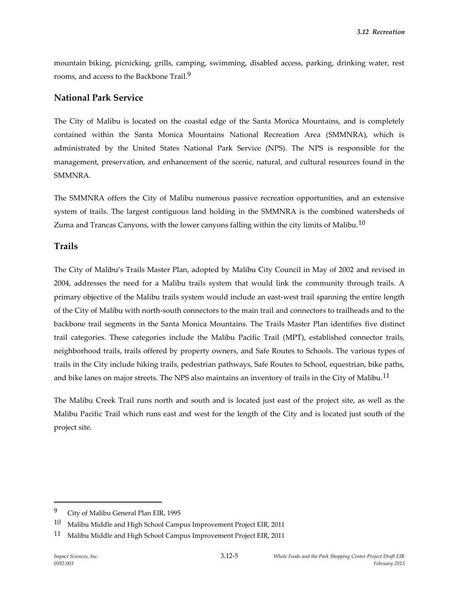mountain biking, picnicking, grills, camping, swimming, disabled access, parking, drinking water, rest rooms, and access to the Backbone Trail.<sup>9</sup>

#### **National Park Service**

The City of Malibu is located on the coastal edge of the Santa Monica Mountains, and is completely contained within the Santa Monica Mountains National Recreation Area (SMMNRA), which is administrated by the United States National Park Service (NPS). The NPS is responsible for the management, preservation, and enhancement of the scenic, natural, and cultural resources found in the SMMNRA.

The SMMNRA offers the City of Malibu numerous passive recreation opportunities, and an extensive system of trails. The largest contiguous land holding in the SMMNRA is the combined watersheds of Zuma and Trancas Canyons, with the lower canyons falling within the city limits of Malibu.<sup>10</sup>

#### **Trails**

The City of Malibu's Trails Master Plan, adopted by Malibu City Council in May of 2002 and revised in 2004, addresses the need for a Malibu trails system that would link the community through trails. A primary objective of the Malibu trails system would include an east-west trail spanning the entire length of the City of Malibu with north-south connectors to the main trail and connectors to trailheads and to the backbone trail segments in the Santa Monica Mountains. The Trails Master Plan identifies five distinct trail categories. These categories include the Malibu Pacific Trail (MPT), established connector trails, neighborhood trails, trails offered by property owners, and Safe Routes to Schools. The various types of trails in the City include hiking trails, pedestrian pathways, Safe Routes to School, equestrian, bike paths, and bike lanes on major streets. The NPS also maintains an inventory of trails in the City of Malibu.<sup>11</sup>

The Malibu Creek Trail runs north and south and is located just east of the project site, as well as the Malibu Pacific Trail which runs east and west for the length of the City and is located just south of the project site.

<sup>9</sup> City of Malibu General Plan EIR, 1995

<sup>10</sup> Malibu Middle and High School Campus Improvement Project EIR, 2011

<sup>&</sup>lt;sup>11</sup> Malibu Middle and High School Campus Improvement Project EIR, 2011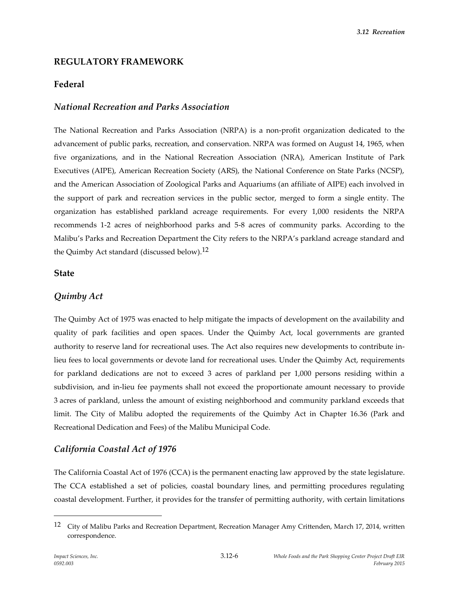## **REGULATORY FRAMEWORK**

### **Federal**

#### *National Recreation and Parks Association*

The National Recreation and Parks Association (NRPA) is a non-profit organization dedicated to the advancement of public parks, recreation, and conservation. NRPA was formed on August 14, 1965, when five organizations, and in the National Recreation Association (NRA), American Institute of Park Executives (AIPE), American Recreation Society (ARS), the National Conference on State Parks (NCSP), and the American Association of Zoological Parks and Aquariums (an affiliate of AIPE) each involved in the support of park and recreation services in the public sector, merged to form a single entity. The organization has established parkland acreage requirements. For every 1,000 residents the NRPA recommends 1-2 acres of neighborhood parks and 5-8 acres of community parks. According to the Malibu's Parks and Recreation Department the City refers to the NRPA's parkland acreage standard and the Quimby Act standard (discussed below).<sup>12</sup>

#### **State**

#### *Quimby Act*

The Quimby Act of 1975 was enacted to help mitigate the impacts of development on the availability and quality of park facilities and open spaces. Under the Quimby Act, local governments are granted authority to reserve land for recreational uses. The Act also requires new developments to contribute inlieu fees to local governments or devote land for recreational uses. Under the Quimby Act, requirements for parkland dedications are not to exceed 3 acres of parkland per 1,000 persons residing within a subdivision, and in-lieu fee payments shall not exceed the proportionate amount necessary to provide 3 acres of parkland, unless the amount of existing neighborhood and community parkland exceeds that limit. The City of Malibu adopted the requirements of the Quimby Act in Chapter 16.36 (Park and Recreational Dedication and Fees) of the Malibu Municipal Code.

## *California Coastal Act of 1976*

The California Coastal Act of 1976 (CCA) is the permanent enacting law approved by the state legislature. The CCA established a set of policies, coastal boundary lines, and permitting procedures regulating coastal development. Further, it provides for the transfer of permitting authority, with certain limitations

<sup>12</sup> City of Malibu Parks and Recreation Department, Recreation Manager Amy Crittenden, March 17, 2014, written correspondence.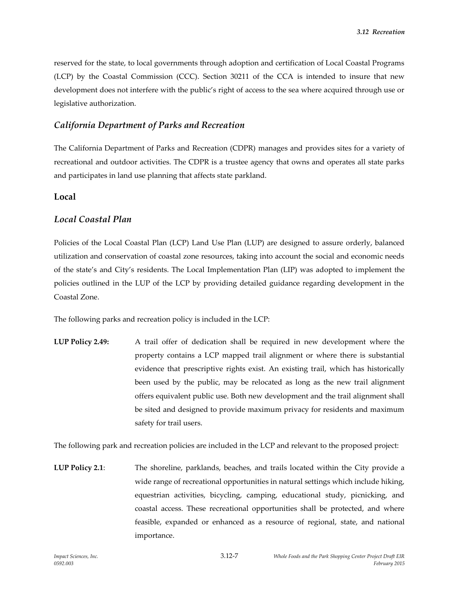reserved for the state, to local governments through adoption and certification of Local Coastal Programs (LCP) by the Coastal Commission (CCC). Section 30211 of the CCA is intended to insure that new development does not interfere with the public's right of access to the sea where acquired through use or legislative authorization.

### *California Department of Parks and Recreation*

The California Department of Parks and Recreation (CDPR) manages and provides sites for a variety of recreational and outdoor activities. The CDPR is a trustee agency that owns and operates all state parks and participates in land use planning that affects state parkland.

#### **Local**

### *Local Coastal Plan*

Policies of the Local Coastal Plan (LCP) Land Use Plan (LUP) are designed to assure orderly, balanced utilization and conservation of coastal zone resources, taking into account the social and economic needs of the state's and City's residents. The Local Implementation Plan (LIP) was adopted to implement the policies outlined in the LUP of the LCP by providing detailed guidance regarding development in the Coastal Zone.

The following parks and recreation policy is included in the LCP:

**LUP Policy 2.49:** A trail offer of dedication shall be required in new development where the property contains a LCP mapped trail alignment or where there is substantial evidence that prescriptive rights exist. An existing trail, which has historically been used by the public, may be relocated as long as the new trail alignment offers equivalent public use. Both new development and the trail alignment shall be sited and designed to provide maximum privacy for residents and maximum safety for trail users.

The following park and recreation policies are included in the LCP and relevant to the proposed project:

**LUP Policy 2.1**: The shoreline, parklands, beaches, and trails located within the City provide a wide range of recreational opportunities in natural settings which include hiking, equestrian activities, bicycling, camping, educational study, picnicking, and coastal access. These recreational opportunities shall be protected, and where feasible, expanded or enhanced as a resource of regional, state, and national importance.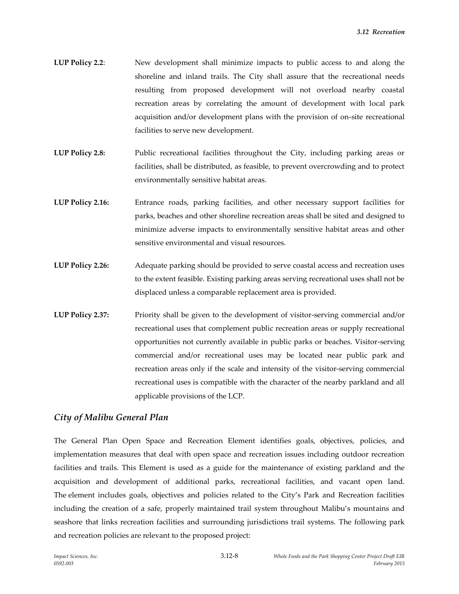- **LUP Policy 2.2**: New development shall minimize impacts to public access to and along the shoreline and inland trails. The City shall assure that the recreational needs resulting from proposed development will not overload nearby coastal recreation areas by correlating the amount of development with local park acquisition and/or development plans with the provision of on-site recreational facilities to serve new development.
- **LUP Policy 2.8:** Public recreational facilities throughout the City, including parking areas or facilities, shall be distributed, as feasible, to prevent overcrowding and to protect environmentally sensitive habitat areas.
- **LUP Policy 2.16:** Entrance roads, parking facilities, and other necessary support facilities for parks, beaches and other shoreline recreation areas shall be sited and designed to minimize adverse impacts to environmentally sensitive habitat areas and other sensitive environmental and visual resources.
- **LUP Policy 2.26:** Adequate parking should be provided to serve coastal access and recreation uses to the extent feasible. Existing parking areas serving recreational uses shall not be displaced unless a comparable replacement area is provided.
- **LUP Policy 2.37:** Priority shall be given to the development of visitor-serving commercial and/or recreational uses that complement public recreation areas or supply recreational opportunities not currently available in public parks or beaches. Visitor-serving commercial and/or recreational uses may be located near public park and recreation areas only if the scale and intensity of the visitor-serving commercial recreational uses is compatible with the character of the nearby parkland and all applicable provisions of the LCP.

#### *City of Malibu General Plan*

The General Plan Open Space and Recreation Element identifies goals, objectives, policies, and implementation measures that deal with open space and recreation issues including outdoor recreation facilities and trails. This Element is used as a guide for the maintenance of existing parkland and the acquisition and development of additional parks, recreational facilities, and vacant open land. The element includes goals, objectives and policies related to the City's Park and Recreation facilities including the creation of a safe, properly maintained trail system throughout Malibu's mountains and seashore that links recreation facilities and surrounding jurisdictions trail systems. The following park and recreation policies are relevant to the proposed project: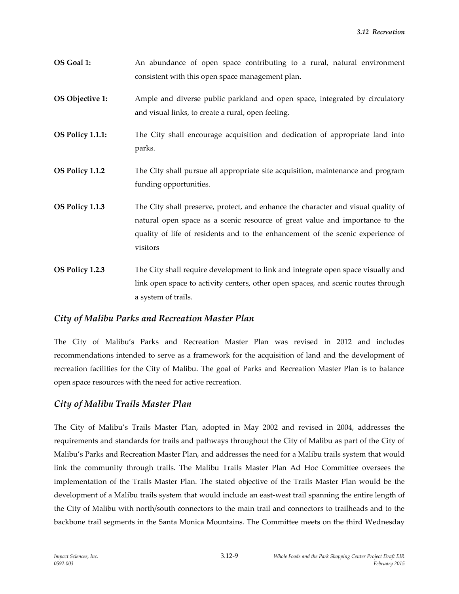- **OS Goal 1:** An abundance of open space contributing to a rural, natural environment consistent with this open space management plan.
- **OS Objective 1:** Ample and diverse public parkland and open space, integrated by circulatory and visual links, to create a rural, open feeling.
- **OS Policy 1.1.1:** The City shall encourage acquisition and dedication of appropriate land into parks.
- **OS Policy 1.1.2** The City shall pursue all appropriate site acquisition, maintenance and program funding opportunities.
- **OS Policy 1.1.3** The City shall preserve, protect, and enhance the character and visual quality of natural open space as a scenic resource of great value and importance to the quality of life of residents and to the enhancement of the scenic experience of visitors
- **OS Policy 1.2.3** The City shall require development to link and integrate open space visually and link open space to activity centers, other open spaces, and scenic routes through a system of trails.

#### *City of Malibu Parks and Recreation Master Plan*

The City of Malibu's Parks and Recreation Master Plan was revised in 2012 and includes recommendations intended to serve as a framework for the acquisition of land and the development of recreation facilities for the City of Malibu. The goal of Parks and Recreation Master Plan is to balance open space resources with the need for active recreation.

#### *City of Malibu Trails Master Plan*

The City of Malibu's Trails Master Plan, adopted in May 2002 and revised in 2004, addresses the requirements and standards for trails and pathways throughout the City of Malibu as part of the City of Malibu's Parks and Recreation Master Plan, and addresses the need for a Malibu trails system that would link the community through trails. The Malibu Trails Master Plan Ad Hoc Committee oversees the implementation of the Trails Master Plan. The stated objective of the Trails Master Plan would be the development of a Malibu trails system that would include an east-west trail spanning the entire length of the City of Malibu with north/south connectors to the main trail and connectors to trailheads and to the backbone trail segments in the Santa Monica Mountains. The Committee meets on the third Wednesday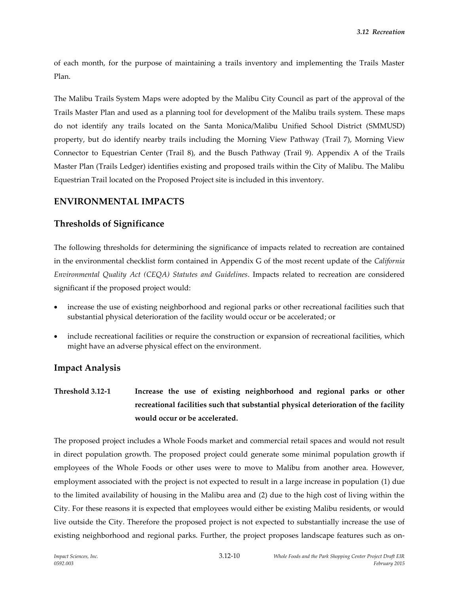of each month, for the purpose of maintaining a trails inventory and implementing the Trails Master Plan.

The Malibu Trails System Maps were adopted by the Malibu City Council as part of the approval of the Trails Master Plan and used as a planning tool for development of the Malibu trails system. These maps do not identify any trails located on the Santa Monica/Malibu Unified School District (SMMUSD) property, but do identify nearby trails including the Morning View Pathway (Trail 7), Morning View Connector to Equestrian Center (Trail 8), and the Busch Pathway (Trail 9). Appendix A of the Trails Master Plan (Trails Ledger) identifies existing and proposed trails within the City of Malibu. The Malibu Equestrian Trail located on the Proposed Project site is included in this inventory.

## **ENVIRONMENTAL IMPACTS**

### **Thresholds of Significance**

The following thresholds for determining the significance of impacts related to recreation are contained in the environmental checklist form contained in Appendix G of the most recent update of the *California Environmental Quality Act (CEQA) Statutes and Guidelines*. Impacts related to recreation are considered significant if the proposed project would:

- increase the use of existing neighborhood and regional parks or other recreational facilities such that substantial physical deterioration of the facility would occur or be accelerated; or
- include recreational facilities or require the construction or expansion of recreational facilities, which might have an adverse physical effect on the environment.

## **Impact Analysis**

**Threshold 3.12-1 Increase the use of existing neighborhood and regional parks or other recreational facilities such that substantial physical deterioration of the facility would occur or be accelerated.**

The proposed project includes a Whole Foods market and commercial retail spaces and would not result in direct population growth. The proposed project could generate some minimal population growth if employees of the Whole Foods or other uses were to move to Malibu from another area. However, employment associated with the project is not expected to result in a large increase in population (1) due to the limited availability of housing in the Malibu area and (2) due to the high cost of living within the City. For these reasons it is expected that employees would either be existing Malibu residents, or would live outside the City. Therefore the proposed project is not expected to substantially increase the use of existing neighborhood and regional parks. Further, the project proposes landscape features such as on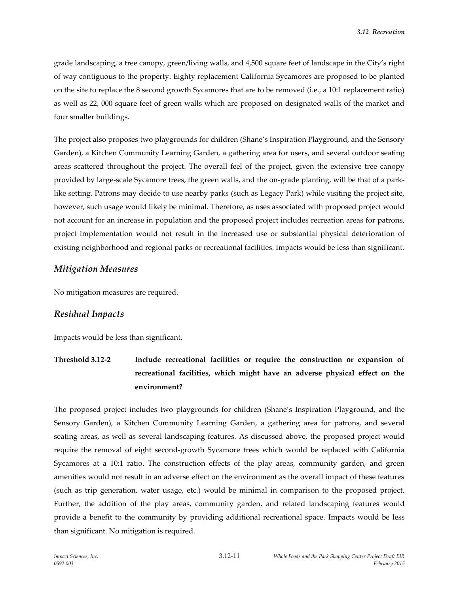grade landscaping, a tree canopy, green/living walls, and 4,500 square feet of landscape in the City's right of way contiguous to the property. Eighty replacement California Sycamores are proposed to be planted on the site to replace the 8 second growth Sycamores that are to be removed (i.e., a 10:1 replacement ratio) as well as 22, 000 square feet of green walls which are proposed on designated walls of the market and four smaller buildings.

The project also proposes two playgrounds for children (Shane's Inspiration Playground, and the Sensory Garden), a Kitchen Community Learning Garden, a gathering area for users, and several outdoor seating areas scattered throughout the project. The overall feel of the project, given the extensive tree canopy provided by large-scale Sycamore trees, the green walls, and the on-grade planting, will be that of a parklike setting. Patrons may decide to use nearby parks (such as Legacy Park) while visiting the project site, however, such usage would likely be minimal. Therefore, as uses associated with proposed project would not account for an increase in population and the proposed project includes recreation areas for patrons, project implementation would not result in the increased use or substantial physical deterioration of existing neighborhood and regional parks or recreational facilities. Impacts would be less than significant.

#### *Mitigation Measures*

No mitigation measures are required.

#### *Residual Impacts*

Impacts would be less than significant.

**Threshold 3.12-2 Include recreational facilities or require the construction or expansion of recreational facilities, which might have an adverse physical effect on the environment?**

The proposed project includes two playgrounds for children (Shane's Inspiration Playground, and the Sensory Garden), a Kitchen Community Learning Garden, a gathering area for patrons, and several seating areas, as well as several landscaping features. As discussed above, the proposed project would require the removal of eight second-growth Sycamore trees which would be replaced with California Sycamores at a 10:1 ratio. The construction effects of the play areas, community garden, and green amenities would not result in an adverse effect on the environment as the overall impact of these features (such as trip generation, water usage, etc.) would be minimal in comparison to the proposed project. Further, the addition of the play areas, community garden, and related landscaping features would provide a benefit to the community by providing additional recreational space. Impacts would be less than significant. No mitigation is required.